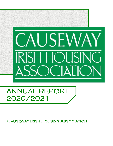

# ANNUAL REPORT 2020/2021

Causeway Irish Housing Association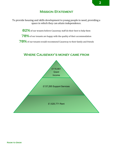To provide housing and skills development to young people in need, providing a space in which they can attain independence.

82% of our tenants believe Causeway staff do their best to help them

**78%** of our tenants are happy with the quality of their accommodation

78% of our tenants would recommend Causeway to their family and friends

### Where Causeway's money came from

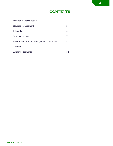# **CONTENTS**

| Director & Chair's Report                |    |
|------------------------------------------|----|
| <b>Housing Management</b>                | 5  |
| Lifeskills                               | 6  |
| <b>Support Services</b>                  |    |
| Meet the Team & Our Management Committee | 9  |
| Accounts                                 | 11 |
| Acknowledgements                         | 12 |

**3**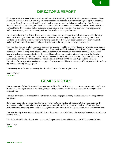### DIRECTOR'S REPORT

What a year this has been! When we left our office on St Patrick's Day 2020, little did we know that we would not return for more than a year. I certainly did not expect to have not seen many of my colleagues again in person a year later. Though even as it felt as if the world had stopped at that time, it hadn't, and neither had Causeway. Indeed, I now have new colleagues who I have not met other than on screen. Thanks to the hard work and care of our staff team, the resilience and co-operation of our tenants, and some innovative and fast-reacting funding bodies, Causeway appears to be emerging from this pandemic stronger than ever.

I must pay tribute to City Bridge Trust, whose pragmatism, care, and support were invaluable to us in the early days. We are also grateful to Hackney Council, Homeless Link, Haringey Giving, National Lottery, and Edible Gardens, for their kind assistance. It was a sterling team effort that ensured our worst fears weren't realised, including from those of our tenants who, during the worst of times, continued to pay their rent.

This year has also led to a huge personal decision for me, and it will be my last at Causeway after eighteen years as Director. The solidarity I have felt, and been part of, has made me both sad and glad to leave. I'm sorry that I won't be involved in the exciting years ahead and will hugely miss my colleagues, but I am so proud of everyone and happy to be leaving the organisation in the best of hands. Next year sees the return of our erstwhile Deputy Director, Alan D'Arcy, as Chief Executive Officer. I have no doubt that Causeway will thrive under his leadership, and I leave him with the very best team. I would also like to thank our Chair, Jess Page, and our excellent Committee, for their professionalism and support during what could have been a very difficult year, and for making my leaving easier by being so good.

I wish everyone at Causeway the very best for what I know will be a bright future.

Joanne Murray *Director*

# CHAIR'S REPORT

I am very proud of what the staff at Causeway have achieved in 2021. The year continued to present its challenges, in particular having no access to an office, yet high quality services continued to be provided meeting resident expectations.

The four-day week has contributed to staff satisfaction and high productivity and has no doubt set us apart from our peers.

It has been wonderful working with Jo over my tenure as Chair, she has left a legacy at Causeway, building the organization to be not just a housing provider but a financially stable organization made up of motivated and passionate staff impacting people's lives through the support and activities they do. Jo will be enormously missed.

I am also looking forward to working with Alan D'Arcy as our new Chief Executive, taking Causeway forward into a positive future.

Thanks to all staff and residents who have worked together and worked hard to make 2021 a successful year.

Jessica Page *Chair*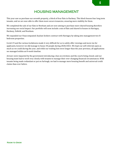### HOUSING MANAGEMENT

This year saw us purchase our seventh property, a block of four flats in Hackney. This block houses four long term tenants, and we are now able to offer them more secure tenancies, ensuring more stability for them.

We completed the sale of our flats in Newham and are now aiming to purchase more shared housing therefore increasing our social impact. Our portfolio will soon include a mix of flats and shared in houses in Haringey, Hackney, Enfield, and Newham.

We expanded our Unaccompanied Asylum Seekers contract with Haringey by taking into management two 8 bedroom properties.

Covid-19 and the various lockdowns made it very difficult for us to safely offer viewings and move ins for applicants, however we did manage to house 44 people during 2020/2021. We kept our self-referrals open as much as we could during the year, and while our waiting lists were longer than the year previous, all applications we managed within an 8-week timeline.

Arrears were impacted by the government introducing a ban on evictions and the courts being closed, and our housing team had to work very closely with tenants to manage their ever-changing financial circumstances. With tenants being made redundant or put on furlough, we had to manage more housing benefit and universal credit claims than ever before.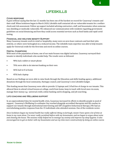## LIFESKILLS

#### Covid response

It goes without saying that the last 12 months has been one of the hardest on record for Causeway's tenants and their staff. When lockdown began in March 2020, Lifeskills staff contacted all our vulnerable tenants for a welfare check and risk assessment. Follow up support included advising contractors, staff, and housemates when someone was shielding or medically vulnerable. We enhanced our communication with residents regarding government guidelines on social distancing and how they could access essential services such as food banks and rapid covid testing.

#### Financial and welfare benefit Support

Many Causeway tenants work in retail or hospitality, many were on zero-hour contracts and lost their jobs entirely, or others were furloughed on a reduced income. The Lifeskills team expertise was able to help tenants apply for Universal credit for the first time and enrol on online courses.

#### Digital Champions

With most of the population at home, one of our main focuses was digital inclusion. Causeway surveyed their tenants to identify individuals who needed help. The results were as followed:

- 98% had a tablet or smart phone
- 70% were able to do internet banking on their own
- 46% had wi-fi at home
- 45% had a laptop

Based on our findings we were able to raise funds through the Education and skills funding agency, additional donations through the local community, Haringey council, and Causeway's own Lifeskills budget.

This funding meant that Causeway were able to provide 12 laptops and 2 iPad free of charge to our tenants. This allowed them to attend virtual lessons at college, work from home, keep in touch with loved ones via zoom, manage their money e.g.- universal credit, online banking and & shopping, and job searching.

#### Life coaching and Wellbeing support

In an unprecedented time for mental health crisis, Causeway increased its efforts to identify people in need of support. Causeway's Wellbeing Co-ordinator Guy worked alongside accredited therapists and life coaches to support our tenants through motivational interviewing and CBT (Cognitive behavioural therapy.) We had an overwhelming positive response from the 15 individuals who attended sessions. One of the residents wrote:

*Since lockdown began my mental health has really suffered. Being on furlough, meant I have spent a lot of time at home in my room alone. I've never really socialised before with my housemates, and we began to argue about noise and cleaning the house. The sessions really helped me to manage my anxiety and improve my sleep hygiene. It also encouraged me to get on better with my housemates and use my time more constructively by doing an online course.*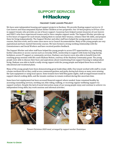# SUPPORT SERVICES **Hackney**

#### Hackney Care Leaver Project

We have semi-independent housing and support projects in Hackney. We provide floating support service to 13 Care leavers and Unaccompanied Asylum Seeker Children at two properties. Our 10-bed property in E9 has a livein support tenant, who provides an out of hours support. Causeway have helped sustain tenancies of care leavers and UASC's who have experienced trauma and/or have complex support needs. The Support Worker provides up to five hours of support for each tenant, helping them to sustain their tenancy, enhance their life skills, and prepare them for living independently. The Support Worker and other staff have helped the young people to access new courses, find new work, and in some cases move on to Council Accommodation. Many of the young people are very aspirational and have started University courses. We have formed a strong working relationship with the Commissioners and Social Workers and have received positive feedback.

The Support Worker and other staff have helped the young people to access ETT opportunities e.g., continuing further education or access courses such as everyday ESOL, mentorship to support with home learning during lockdown, access IT support or community services. Hackney care leavers were also able to benefit from Life coaching group sessions with life coach Shabazz Nelson, courtesy of the Hackney Community grant. The young people were able to discuss their fears and aspirations about transitioning from support housing to independent living. Shabazz was able to build a really strong rapport with the young people and helped them focus on their educational and vocational plans.

Many of the young people have been demonstrating great leaderships skills; One tenant worked with staff to create a home workouts kit so they could access communal gardens and parks during lock down as many were missing the Gym equipment or using local spaces. Some tenants have held film/game nights, staff arranged tenant meals to support shared cooking skills, and the tenants continue to remain resilient during this uncertain time.

Some have lost employment but have accessed financial support where needed. Some remained healthy by accessing counselling services, working out, bike riding, walking, or receiving regular wellbeing support via support workers. Despite the lack of social interaction many of our young people enjoy and continue to achieve via independent living skills, key work sessions and informal activities.







*Tenant Christmas 2020 meal, arranged by support worker Dominique.*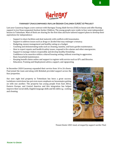

#### Haringey Unaccompanied Asylum Seeker Children (UASC's) Project

Last year Causeway began a new contract with Haringey Young Adult Service (YAS) to house and offer floating support to ten Unaccompanied Asylum Seeker Children. The young people now reside in four semi-independent houses in Tottenham. Most of them are sharing for the first time and have tailored support plans to develop their aspirations for independence:

- Support to share facilities and deal maturely with conflicts with housemates.
- Support to address issues such as drugs or alcohol that may endanger a tenancy.
- Budgeting, money management and healthy eating on a budget.
- Coaching and demonstrating tasks such as cleaning, laundry, and basic garden maintenance.
- How to report repairs and health & safety issues, respond to fire alarms and other emergencies.
- Support to manage visitors responsibly and develop healthy friendship. Confidence to be assertive within a shared housing setting, without resorting to aggression.
- Basic household maintenance.
- Keeping benefit claims online and support to register with service such as GP's and libraries.
- Education, Training and Employment advice, support, and signposting

In December 2020 Causeway expanded their service from 10 to 26 clients. Paul joined the team and along with Rebekah provided support across the four properties.

Our new eight bed property in Tottenham has been a great success. Lockdown restrictions has put even more emphasis on housemates getting on with one another. The property has young people from East Africa, Eastern Europe, and Central America and this integration has helped improve their social skills, English language skills and life skills e.g.- cooking and cleaning.



*Tenant Easter 2021 meal, arranged by support worker Paul.*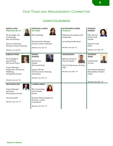# Our Team and Management Committee

#### COMMITTEE MEMBERS

| <b>JESSICA PAGE</b><br><b>Chair from Oct 19</b><br><b>BA</b> Sociology and<br>Criminology<br><b>MSc Social Policy</b><br>Director of Housing<br><b>Women's Pioneer Housing</b><br>Member since Jul'18.   | <b>FRANCESCA LEWIS</b><br><b>Vice Chair</b><br><b>BA Psychology</b><br><b>Housing Policy Manager</b><br><b>Greater London Authority</b><br>Member since Apr'19.                       | <b>OLUWAFEMI AYINDE</b><br><b>Treasurer</b><br>BA(hons) Accounting with<br>Computing<br><b>Accounting Professional</b><br>Member since Apr '12. | <b>FRANCES</b><br><b>HARKIN</b><br>PhD, MA, BA<br>(Hons) Irish<br><b>Studies</b><br>Research Lead<br><b>HACT</b><br>Member since May '18. |
|----------------------------------------------------------------------------------------------------------------------------------------------------------------------------------------------------------|---------------------------------------------------------------------------------------------------------------------------------------------------------------------------------------|-------------------------------------------------------------------------------------------------------------------------------------------------|-------------------------------------------------------------------------------------------------------------------------------------------|
| <b>JORDAN STEER</b><br>BA Sociology &<br><b>Social Policy</b><br><b>MSc Social Policy</b><br>Project Manager -<br>Integration, Inclusion &<br>Wellbeing<br>Notting Hill Genesis<br>Member since Jul '18. | <b>KWEKU</b><br><b>HANSON</b><br><b>BA Business</b><br><b>Studies</b><br>MSc Social Work<br>Support Worker<br><b>Christian Action Housing</b><br>Association<br>Member since Feb '19. | <b>GRAHAM RICE</b><br>MDrama Drama &<br><b>Theatre Studies</b><br>Head of Performance & Policy<br>L&Q<br>Member since Mar '19.                  | <b>ANTHONY</b><br><b>WERE</b><br><b>LLB</b> Bachelor<br>of Laws<br>Development Manager<br><b>Metropolitan Thames</b><br>Valley            |
| <b>DEAN MCGLYNN</b><br>Project Manager<br>Barnsbury<br><b>Housing Association</b><br>Secretary g320<br>Member since Oct' 19                                                                              | <b>LAUREN GREEN</b><br><b>BSc Criminology</b><br>and Criminal<br>Justice<br>Assistant Head of Support &<br>Housing-London<br>Centrepoint<br>Member since Nov' 19                      |                                                                                                                                                 | Member since Mar '19.                                                                                                                     |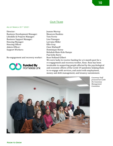#### OUR TEAM

#### As of March 31st 2021

Director: Joanne Murray Business Development Manager: Maureen Hankins Lifeskills & Projects Manager: Tom Ferrie Business Support Manager: Lisa Finnegan Housing Manager: Lorraine Miller Housing Officer Ellie Gray Admin Officer: Clare Mullaniff Support Workers: Dominique Henry

Re-engagement and recovery worker: Rose Holland Gilbert



Rebekah Mate-Kole Rampe Paul John Barry

We were lucky to receive funding for a 6-month post for a re-engagement and recovery worker, Rose. Rose has been invaluable in supporting people affected by the psychological and economic effects of the Covid-19 pandemic helping them to re-engage with services, and assist with employment, money and debt management, and tenancy sustainment.



*Causeway Staff pictured here with the Causeway Management Committee*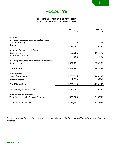### ACCOUNTS

#### **STATEMENT OF FINANCIAL ACTIVITIES FOR THE YEAR ENDED 31 MARCH 2021**

|                                                | 2020/21<br>£ | 2019/20<br>£ |
|------------------------------------------------|--------------|--------------|
| <b>Income</b>                                  |              |              |
| Incoming resources from generated funds:       |              |              |
| Donations and gifts                            | $\bf{0}$     | 205          |
| Grants                                         | 116,661      | 56,740       |
| Activities for generation funds:               |              |              |
| Other Income                                   | 137,265      | 114,677      |
| <b>Investment Income</b>                       | 404          | 670          |
| Incoming resources from charitable activities: |              |              |
| <b>Rent Receivable</b>                         | 1,620,771    | 1,629,286    |
| <b>Total Income</b>                            | 1,875,101    | 1,801,578    |
| <b>Expenditure</b>                             |              |              |
| Charitable activities                          | 1,757,025    | 1,786,339    |
| Governance costs                               | 6,415        | 6,856        |
| <b>Total Expenditure</b>                       | 1,763,440    | 1,793,195    |
| Net Income/(Expenditure)                       | 111,661      | 8,383        |
| <b>Reconciliation of Funds</b>                 |              |              |
| Total funds brought forward (restated)         | 827,089      | 818,706      |
| Total funds carried over                       | 1,140,987    | 827,089      |

*Please contact the Director for a copy of our accounts in full, including a detailed breakdown of our financial activities.*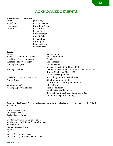# ACKNOWLEDGEMENTS

#### **MANAGEMENT COMMITTEE**

| Chair:      |
|-------------|
| Vice Chair: |
| Treasurer:  |
| Members:    |

Jessica Page Francesca Lewis Oluwafemi Ayinde Frances Harkin Jordan Steer Kweku Hanson Áine McGaley Graham Rice Anthony Were Dean McGlynn Lauren Green

#### **STAFF**

| Director:                            | Joanne Murray                                    |
|--------------------------------------|--------------------------------------------------|
| <b>Business Development Manager:</b> | Maureen Hankins                                  |
| Lifeskills & Projects Manager:       | Tom Ferrie                                       |
| <b>Business Support Manager:</b>     | Lisa Finnegan                                    |
| <b>Housing Managers:</b>             | Lorraine Miller                                  |
|                                      | Niccolo Biancalani until June 2020               |
| Housing Officers:                    | Jai Chandel from August 2020 until November 2020 |
|                                      | Graeme Meek from March 2021                      |
|                                      | Ellie Gray from July 2020                        |
| Lifeskills & Projects Coordinator:   | Guy Bolongaro until December 2020                |
| Admin Officer:                       | Ellie Gray until July 2020                       |
|                                      | <b>Clare Mullaniff from September 2020</b>       |
| Maintenance Officer:                 | Michael Lynch                                    |
| <b>Floating Support Workers:</b>     | Dominique Henry                                  |
|                                      | Rebekah Mate-Kole Rampe                          |
|                                      | Rose Holland Gilbert from September 2020         |
|                                      | Paul John Barry from January 2021                |

Causeway Irish Housing Association is proud to work with and acknowledges the support of the following organisations:

Bridge Renewal Trust City Bridge Trust Clarion Housing Group Crisis Croydon Churches Housing Association Irish Government Emigrant Support Programme Irish in Britain Migrant Resource Centre MIND L&Q London Borough of Hackney London Borough of Hammersmith & Fulham

#### Room to Grow